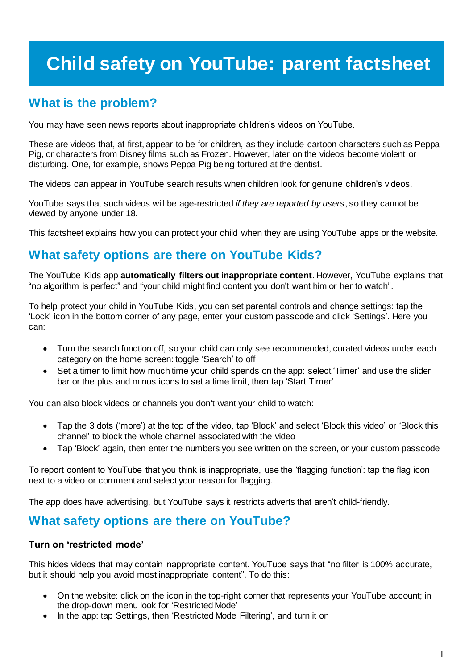# **Child safety on YouTube: parent factsheet**

### **What is the problem?**

You may have seen news reports about inappropriate children's videos on YouTube.

These are videos that, at first, appear to be for children, as they include cartoon characters such as Peppa Pig, or characters from Disney films such as Frozen. However, later on the videos become violent or disturbing. One, for example, shows Peppa Pig being tortured at the dentist.

The videos can appear in YouTube search results when children look for genuine children's videos.

YouTube says that such videos will be age-restricted *if they are reported by users*, so they cannot be viewed by anyone under 18.

This factsheet explains how you can protect your child when they are using YouTube apps or the website.

### **What safety options are there on YouTube Kids?**

The YouTube Kids app **automatically filters out inappropriate content**. However, YouTube explains that "no algorithm is perfect" and "your child might find content you don't want him or her to watch".

To help protect your child in YouTube Kids, you can set parental controls and change settings: tap the 'Lock' icon in the bottom corner of any page, enter your custom passcode and click 'Settings'. Here you can:

- Turn the search function off, so your child can only see recommended, curated videos under each category on the home screen: toggle 'Search' to off
- Set a timer to limit how much time your child spends on the app: select 'Timer' and use the slider bar or the plus and minus icons to set a time limit, then tap 'Start Timer'

You can also block videos or channels you don't want your child to watch:

- Tap the 3 dots ('more') at the top of the video, tap 'Block' and select 'Block this video' or 'Block this channel' to block the whole channel associated with the video
- Tap 'Block' again, then enter the numbers you see written on the screen, or your custom passcode

To report content to YouTube that you think is inappropriate, use the 'flagging function': tap the flag icon next to a video or comment and select your reason for flagging.

The app does have advertising, but YouTube says it restricts adverts that aren't child-friendly.

### **What safety options are there on YouTube?**

#### **Turn on 'restricted mode'**

This hides videos that may contain inappropriate content. YouTube says that "no filter is 100% accurate, but it should help you avoid most inappropriate content". To do this:

- On the website: click on the icon in the top-right corner that represents your YouTube account; in the drop-down menu look for 'Restricted Mode'
- In the app: tap Settings, then 'Restricted Mode Filtering', and turn it on